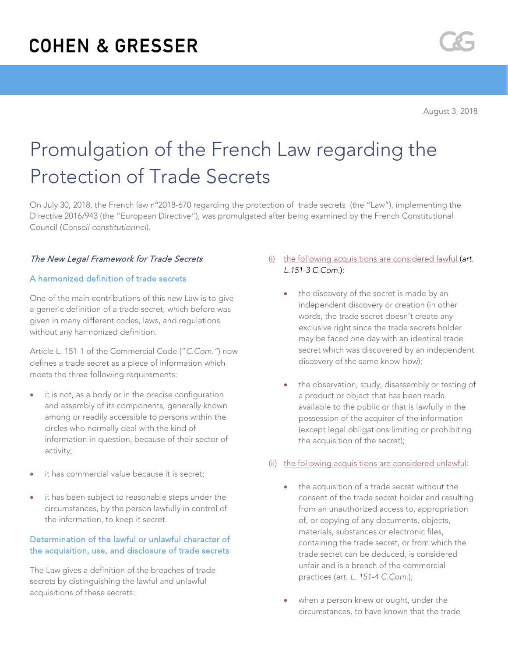# Promulgation of the French Law regarding the Protection of Trade Secrets

On July 30, 2018, the French law n°2018-670 regarding the protection of trade secrets (the "Law"), implementing the Directive 2016/943 (the "European Directive"), was promulgated after being examined by the French Constitutional Council (*Conseil constitutionnel*).

# The New Legal Framework for Trade Secrets

## A harmonized definition of trade secrets

One of the main contributions of this new Law is to give a generic definition of a trade secret, which before was given in many different codes, laws, and regulations without any harmonized definition.

Article L. 151-1 of the Commercial Code ("*C.Com."*) now defines a trade secret as a piece of information which meets the three following requirements:

- it is not, as a body or in the precise configuration and assembly of its components, generally known among or readily accessible to persons within the circles who normally deal with the kind of information in question, because of their sector of activity;
- it has commercial value because it is secret:
- it has been subject to reasonable steps under the circumstances, by the person lawfully in control of the information, to keep it secret.

# Determination of the lawful or unlawful character of the acquisition, use, and disclosure of trade secrets

The Law gives a definition of the breaches of trade secrets by distinguishing the lawful and unlawful acquisitions of these secrets:

- (i) the following acquisitions are considered lawful (*art. L.151-3 C.Com.*):
	- the discovery of the secret is made by an independent discovery or creation (in other words, the trade secret doesn't create any exclusive right since the trade secrets holder may be faced one day with an identical trade secret which was discovered by an independent discovery of the same know-how);
	- the observation, study, disassembly or testing of a product or object that has been made available to the public or that is lawfully in the possession of the acquirer of the information (except legal obligations limiting or prohibiting the acquisition of the secret);

# (ii) the following acquisitions are considered unlawful:

- the acquisition of a trade secret without the consent of the trade secret holder and resulting from an unauthorized access to, appropriation of, or copying of any documents, objects, materials, substances or electronic files, containing the trade secret, or from which the trade secret can be deduced, is considered unfair and is a breach of the commercial practices (*art. L. 151-4 C.Com*.);
- when a person knew or ought, under the circumstances, to have known that the trade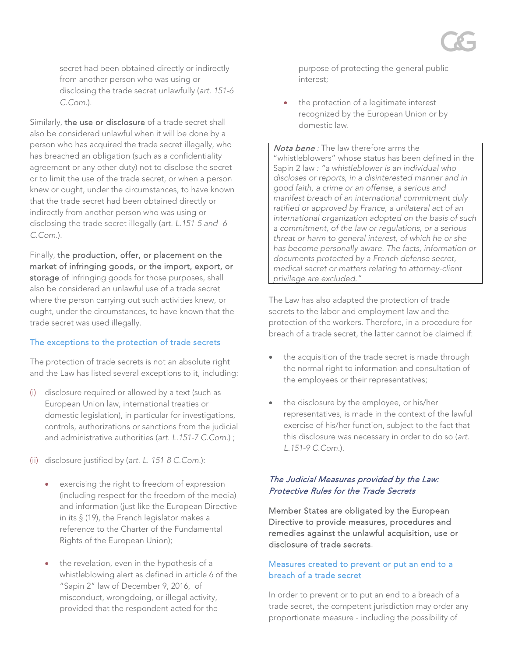secret had been obtained directly or indirectly from another person who was using or disclosing the trade secret unlawfully (*art. 151-6 C.Com.*).

Similarly, the use or disclosure of a trade secret shall also be considered unlawful when it will be done by a person who has acquired the trade secret illegally, who has breached an obligation (such as a confidentiality agreement or any other duty) not to disclose the secret or to limit the use of the trade secret, or when a person knew or ought, under the circumstances, to have known that the trade secret had been obtained directly or indirectly from another person who was using or disclosing the trade secret illegally (*art. L.151-5 and -6 C.Com.*).

Finally, the production, offer, or placement on the market of infringing goods, or the import, export, or storage of infringing goods for those purposes, shall also be considered an unlawful use of a trade secret where the person carrying out such activities knew, or ought, under the circumstances, to have known that the trade secret was used illegally.

#### The exceptions to the protection of trade secrets

The protection of trade secrets is not an absolute right and the Law has listed several exceptions to it, including:

- (i) disclosure required or allowed by a text (such as European Union law, international treaties or domestic legislation), in particular for investigations, controls, authorizations or sanctions from the judicial and administrative authorities (*art. L.151-7 C.Com.*) ;
- (ii) disclosure justified by (*art. L. 151-8 C.Com.*):
	- exercising the right to freedom of expression (including respect for the freedom of the media) and information (just like the European Directive in its § (19), the French legislator makes a reference to the Charter of the Fundamental Rights of the European Union);
	- the revelation, even in the hypothesis of a whistleblowing alert as defined in article 6 of the "Sapin 2" law of December 9, 2016, of misconduct, wrongdoing, or illegal activity, provided that the respondent acted for the

purpose of protecting the general public interest;

the protection of a legitimate interest recognized by the European Union or by domestic law.

Nota bene *:* The law therefore arms the "whistleblowers" whose status has been defined in the Sapin 2 law *: "a whistleblower is an individual who discloses or reports, in a disinterested manner and in good faith, a crime or an offense, a serious and manifest breach of an international commitment duly ratified or approved by France, a unilateral act of an international organization adopted on the basis of such a commitment, of the law or regulations, or a serious threat or harm to general interest, of which he or she has become personally aware. The facts, information or documents protected by a French defense secret, medical secret or matters relating to attorney-client privilege are excluded."*

The Law has also adapted the protection of trade secrets to the labor and employment law and the protection of the workers. Therefore, in a procedure for breach of a trade secret, the latter cannot be claimed if:

- the acquisition of the trade secret is made through the normal right to information and consultation of the employees or their representatives;
- the disclosure by the employee, or his/her representatives, is made in the context of the lawful exercise of his/her function, subject to the fact that this disclosure was necessary in order to do so (*art. L.151-9 C.Com.*).

## The Judicial Measures provided by the Law: Protective Rules for the Trade Secrets

Member States are obligated by the European Directive to provide measures, procedures and remedies against the unlawful acquisition, use or disclosure of trade secrets.

## Measures created to prevent or put an end to a breach of a trade secret

In order to prevent or to put an end to a breach of a trade secret, the competent jurisdiction may order any proportionate measure - including the possibility of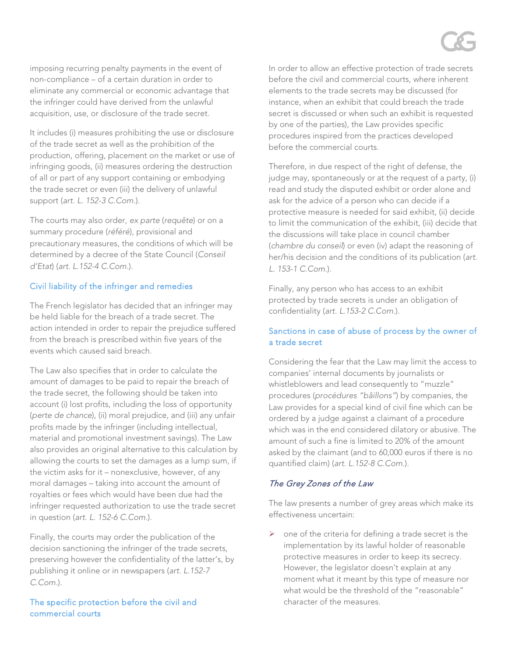imposing recurring penalty payments in the event of non-compliance – of a certain duration in order to eliminate any commercial or economic advantage that the infringer could have derived from the unlawful acquisition, use, or disclosure of the trade secret.

It includes (i) measures prohibiting the use or disclosure of the trade secret as well as the prohibition of the production, offering, placement on the market or use of infringing goods, (ii) measures ordering the destruction of all or part of any support containing or embodying the trade secret or even (iii) the delivery of unlawful support (*art. L. 152-3 C.Com.*).

The courts may also order, *ex parte* (*requête*) or on a summary procedure (*référé*), provisional and precautionary measures, the conditions of which will be determined by a decree of the State Council (*Conseil d'Etat*) (*art. L.152-4 C.Com.*).

## Civil liability of the infringer and remedies

The French legislator has decided that an infringer may be held liable for the breach of a trade secret. The action intended in order to repair the prejudice suffered from the breach is prescribed within five years of the events which caused said breach.

The Law also specifies that in order to calculate the amount of damages to be paid to repair the breach of the trade secret, the following should be taken into account (i) lost profits, including the loss of opportunity (*perte de chance*), (ii) moral prejudice, and (iii) any unfair profits made by the infringer (including intellectual, material and promotional investment savings). The Law also provides an original alternative to this calculation by allowing the courts to set the damages as a lump sum, if the victim asks for it – nonexclusive, however, of any moral damages – taking into account the amount of royalties or fees which would have been due had the infringer requested authorization to use the trade secret in question (*art. L. 152-6 C.Com.*).

Finally, the courts may order the publication of the decision sanctioning the infringer of the trade secrets, preserving however the confidentiality of the latter's, by publishing it online or in newspapers (*art. L.152-7 C.Com.*).

The specific protection before the civil and commercial courts

In order to allow an effective protection of trade secrets before the civil and commercial courts, where inherent elements to the trade secrets may be discussed (for instance, when an exhibit that could breach the trade secret is discussed or when such an exhibit is requested by one of the parties), the Law provides specific procedures inspired from the practices developed before the commercial courts.

Therefore, in due respect of the right of defense, the judge may, spontaneously or at the request of a party, (i) read and study the disputed exhibit or order alone and ask for the advice of a person who can decide if a protective measure is needed for said exhibit, (ii) decide to limit the communication of the exhibit, (iii) decide that the discussions will take place in council chamber (*chambre du conseil*) or even (iv) adapt the reasoning of her/his decision and the conditions of its publication (*art. L. 153-1 C.Com.*).

Finally, any person who has access to an exhibit protected by trade secrets is under an obligation of confidentiality (*art. L.153-2 C.Com.*).

# Sanctions in case of abuse of process by the owner of a trade secret

Considering the fear that the Law may limit the access to companies' internal documents by journalists or whistleblowers and lead consequently to "muzzle" procedures (*procédures "bâillons"*) by companies, the Law provides for a special kind of civil fine which can be ordered by a judge against a claimant of a procedure which was in the end considered dilatory or abusive. The amount of such a fine is limited to 20% of the amount asked by the claimant (and to 60,000 euros if there is no quantified claim) (*art. L.152-8 C.Com.*).

# The Grey Zones of the Law

The law presents a number of grey areas which make its effectiveness uncertain:

 one of the criteria for defining a trade secret is the implementation by its lawful holder of reasonable protective measures in order to keep its secrecy. However, the legislator doesn't explain at any moment what it meant by this type of measure nor what would be the threshold of the "reasonable" character of the measures.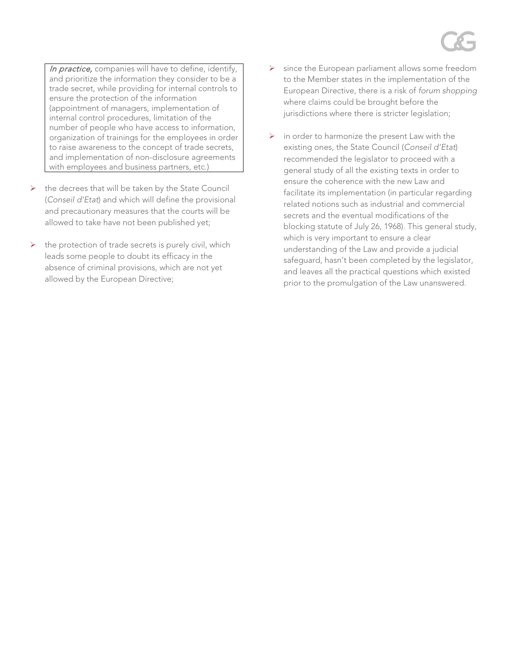In practice, companies will have to define, identify, and prioritize the information they consider to be a trade secret, while providing for internal controls to ensure the protection of the information (appointment of managers, implementation of internal control procedures, limitation of the number of people who have access to information, organization of trainings for the employees in order to raise awareness to the concept of trade secrets, and implementation of non-disclosure agreements with employees and business partners, etc.)

- $\triangleright$  the decrees that will be taken by the State Council (*Conseil d'Etat*) and which will define the provisional and precautionary measures that the courts will be allowed to take have not been published yet;
- the protection of trade secrets is purely civil, which leads some people to doubt its efficacy in the absence of criminal provisions, which are not yet allowed by the European Directive;
- $\triangleright$  since the European parliament allows some freedom to the Member states in the implementation of the European Directive, there is a risk of *forum shopping* where claims could be brought before the jurisdictions where there is stricter legislation;
- $\triangleright$  in order to harmonize the present Law with the existing ones, the State Council (*Conseil d'Etat*) recommended the legislator to proceed with a general study of all the existing texts in order to ensure the coherence with the new Law and facilitate its implementation (in particular regarding related notions such as industrial and commercial secrets and the eventual modifications of the blocking statute of July 26, 1968). This general study, which is very important to ensure a clear understanding of the Law and provide a judicial safeguard, hasn't been completed by the legislator, and leaves all the practical questions which existed prior to the promulgation of the Law unanswered.